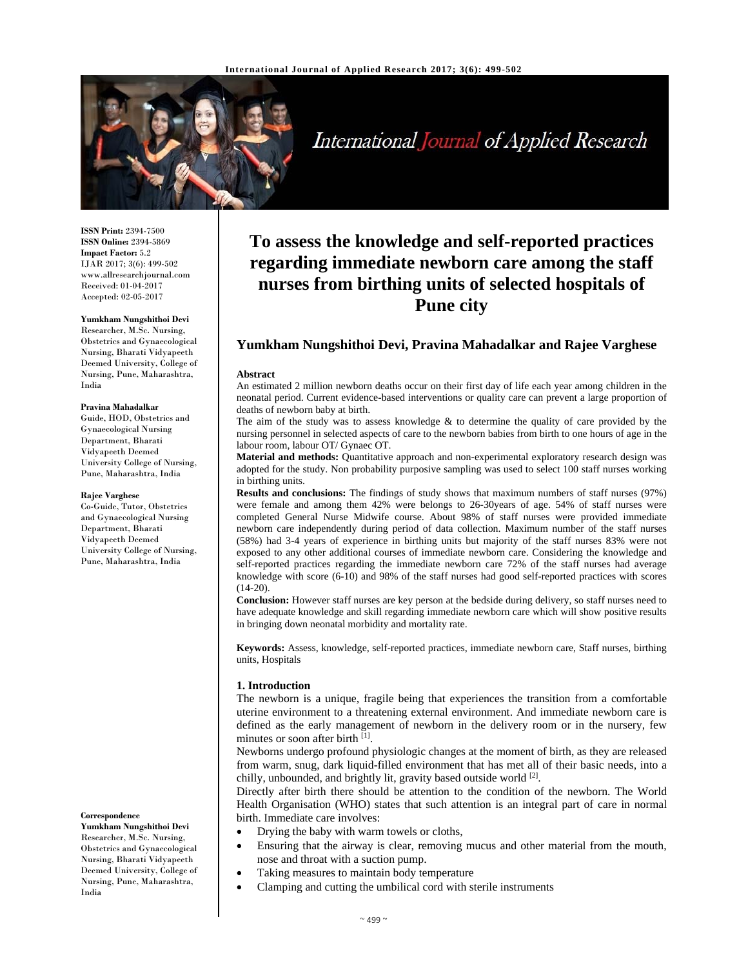

International Journal of Applied Research

**ISSN Print:** 2394-7500 **ISSN Online:** 2394-5869 **Impact Factor:** 5.2 IJAR 2017; 3(6): 499-502 www.allresearchjournal.com Received: 01-04-2017 Accepted: 02-05-2017

# **Yumkham Nungshithoi Devi**

Researcher, M.Sc. Nursing, Obstetrics and Gynaecological Nursing, Bharati Vidyapeeth Deemed University, College of Nursing, Pune, Maharashtra, India

#### **Pravina Mahadalkar**

Guide, HOD, Obstetrics and Gynaecological Nursing Department, Bharati Vidyapeeth Deemed University College of Nursing, Pune, Maharashtra, India

#### **Rajee Varghese**

Co-Guide, Tutor, Obstetrics and Gynaecological Nursing Department, Bharati Vidyapeeth Deemed University College of Nursing, Pune, Maharashtra, India

**Correspondence**

**Yumkham Nungshithoi Devi**  Researcher, M.Sc. Nursing, Obstetrics and Gynaecological Nursing, Bharati Vidyapeeth Deemed University, College of Nursing, Pune, Maharashtra, India

# **To assess the knowledge and self-reported practices regarding immediate newborn care among the staff nurses from birthing units of selected hospitals of Pune city**

# **Yumkham Nungshithoi Devi, Pravina Mahadalkar and Rajee Varghese**

#### **Abstract**

An estimated 2 million newborn deaths occur on their first day of life each year among children in the neonatal period. Current evidence-based interventions or quality care can prevent a large proportion of deaths of newborn baby at birth.

The aim of the study was to assess knowledge  $&$  to determine the quality of care provided by the nursing personnel in selected aspects of care to the newborn babies from birth to one hours of age in the labour room, labour OT/ Gynaec OT.

**Material and methods:** Quantitative approach and non-experimental exploratory research design was adopted for the study. Non probability purposive sampling was used to select 100 staff nurses working in birthing units.

**Results and conclusions:** The findings of study shows that maximum numbers of staff nurses (97%) were female and among them 42% were belongs to 26-30years of age. 54% of staff nurses were completed General Nurse Midwife course. About 98% of staff nurses were provided immediate newborn care independently during period of data collection. Maximum number of the staff nurses (58%) had 3-4 years of experience in birthing units but majority of the staff nurses 83% were not exposed to any other additional courses of immediate newborn care. Considering the knowledge and self-reported practices regarding the immediate newborn care 72% of the staff nurses had average knowledge with score (6-10) and 98% of the staff nurses had good self-reported practices with scores  $(14-20)$ .

**Conclusion:** However staff nurses are key person at the bedside during delivery, so staff nurses need to have adequate knowledge and skill regarding immediate newborn care which will show positive results in bringing down neonatal morbidity and mortality rate.

**Keywords:** Assess, knowledge, self-reported practices, immediate newborn care, Staff nurses, birthing units, Hospitals

## **1. Introduction**

The newborn is a unique, fragile being that experiences the transition from a comfortable uterine environment to a threatening external environment. And immediate newborn care is defined as the early management of newborn in the delivery room or in the nursery, few minutes or soon after birth [1].

Newborns undergo profound physiologic changes at the moment of birth, as they are released from warm, snug, dark liquid-filled environment that has met all of their basic needs, into a chilly, unbounded, and brightly lit, gravity based outside world [2].

Directly after birth there should be attention to the condition of the newborn. The World Health Organisation (WHO) states that such attention is an integral part of care in normal birth. Immediate care involves:

- Drying the baby with warm towels or cloths,
- Ensuring that the airway is clear, removing mucus and other material from the mouth, nose and throat with a suction pump.
- Taking measures to maintain body temperature
- Clamping and cutting the umbilical cord with sterile instruments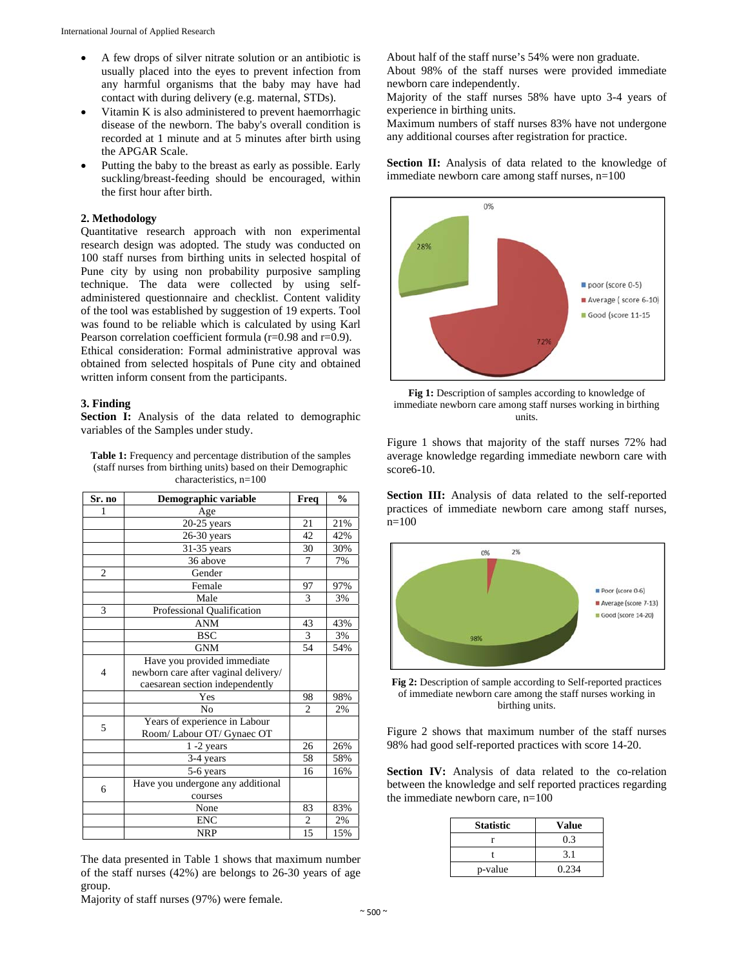- A few drops of silver nitrate solution or an antibiotic is usually placed into the eyes to prevent infection from any harmful organisms that the baby may have had contact with during delivery (e.g. maternal, STDs).
- Vitamin K is also administered to prevent haemorrhagic disease of the newborn. The baby's overall condition is recorded at 1 minute and at 5 minutes after birth using the APGAR Scale.
- Putting the baby to the breast as early as possible. Early suckling/breast-feeding should be encouraged, within the first hour after birth.

### **2. Methodology**

Quantitative research approach with non experimental research design was adopted. The study was conducted on 100 staff nurses from birthing units in selected hospital of Pune city by using non probability purposive sampling technique. The data were collected by using selfadministered questionnaire and checklist. Content validity of the tool was established by suggestion of 19 experts. Tool was found to be reliable which is calculated by using Karl Pearson correlation coefficient formula (r=0.98 and r=0.9). Ethical consideration: Formal administrative approval was obtained from selected hospitals of Pune city and obtained written inform consent from the participants.

#### **3. Finding**

Section I: Analysis of the data related to demographic variables of the Samples under study.

**Table 1:** Frequency and percentage distribution of the samples (staff nurses from birthing units) based on their Demographic characteristics, n=100

| Sr. no         | Demographic variable                 | Freq           | $\frac{0}{0}$ |
|----------------|--------------------------------------|----------------|---------------|
|                | Age                                  |                |               |
|                | $20-25$ years                        | 21             | 21%           |
|                | $26-30$ years                        | 42             | 42%           |
|                | $31-35$ years                        | 30             | 30%           |
|                | 36 above                             | 7              | 7%            |
| $\overline{c}$ | Gender                               |                |               |
|                | Female                               | 97             | 97%           |
|                | Male                                 | 3              | 3%            |
| 3              | Professional Qualification           |                |               |
|                | <b>ANM</b>                           | 43             | 43%           |
|                | <b>BSC</b>                           | 3              | 3%            |
|                | <b>GNM</b>                           | 54             | 54%           |
|                | Have you provided immediate          |                |               |
| 4              | newborn care after vaginal delivery/ |                |               |
|                | caesarean section independently      |                |               |
|                | Yes                                  | 98             | 98%           |
|                | No                                   | $\overline{c}$ | 2%            |
| 5              | Years of experience in Labour        |                |               |
|                | Room/Labour OT/Gynaec OT             |                |               |
|                | $1 - 2$ years                        | 26             | 26%           |
|                | 3-4 years                            | 58             | 58%           |
|                | 5-6 years                            | 16             | 16%           |
| 6              | Have you undergone any additional    |                |               |
|                | courses                              |                |               |
|                | None                                 | 83             | 83%           |
|                | <b>ENC</b>                           | 2              | 2%            |
|                | <b>NRP</b>                           | 15             | 15%           |

The data presented in Table 1 shows that maximum number of the staff nurses (42%) are belongs to 26-30 years of age group.

About half of the staff nurse's 54% were non graduate. About 98% of the staff nurses were provided immediate

newborn care independently. Majority of the staff nurses 58% have upto 3-4 years of experience in birthing units.

Maximum numbers of staff nurses 83% have not undergone any additional courses after registration for practice.

Section II: Analysis of data related to the knowledge of immediate newborn care among staff nurses, n=100





Figure 1 shows that majority of the staff nurses 72% had average knowledge regarding immediate newborn care with score6-10.

**Section III:** Analysis of data related to the self-reported practices of immediate newborn care among staff nurses, n=100



**Fig 2:** Description of sample according to Self-reported practices of immediate newborn care among the staff nurses working in birthing units.

Figure 2 shows that maximum number of the staff nurses 98% had good self-reported practices with score 14-20.

Section IV: Analysis of data related to the co-relation between the knowledge and self reported practices regarding the immediate newborn care,  $n=100$ 

| <b>Statistic</b> | <b>Value</b> |
|------------------|--------------|
|                  | 0.3          |
|                  | 3.1          |
| p-value          | 0.234        |

Majority of staff nurses (97%) were female.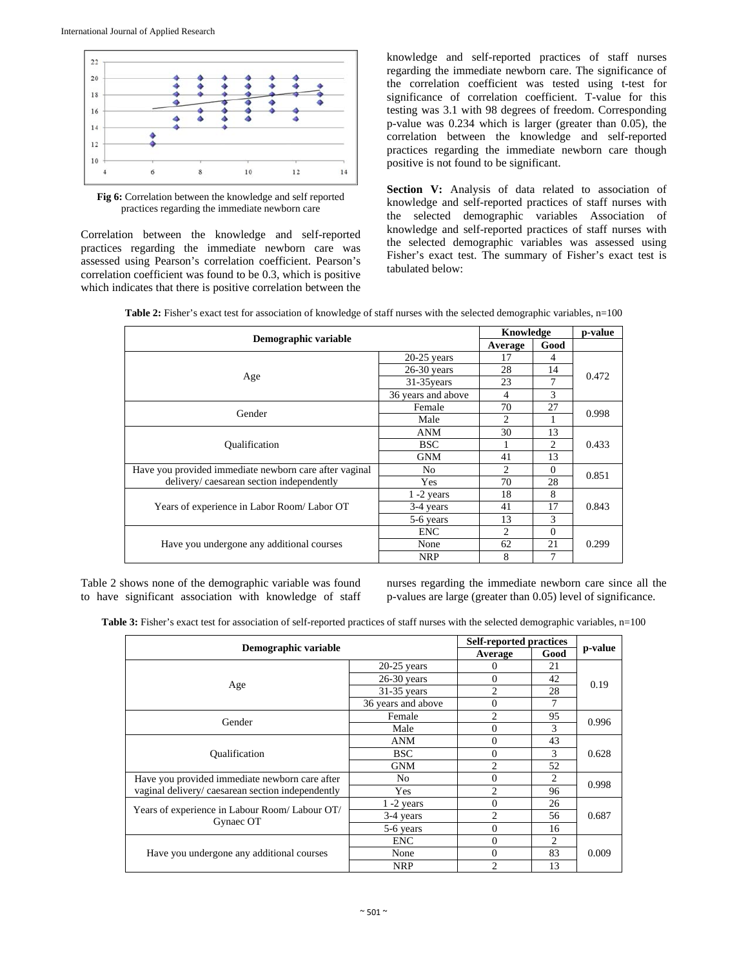

**Fig 6:** Correlation between the knowledge and self reported practices regarding the immediate newborn care

Correlation between the knowledge and self-reported practices regarding the immediate newborn care was assessed using Pearson's correlation coefficient. Pearson's correlation coefficient was found to be 0.3, which is positive which indicates that there is positive correlation between the knowledge and self-reported practices of staff nurses regarding the immediate newborn care. The significance of the correlation coefficient was tested using t-test for significance of correlation coefficient. T-value for this testing was 3.1 with 98 degrees of freedom. Corresponding p-value was 0.234 which is larger (greater than 0.05), the correlation between the knowledge and self-reported practices regarding the immediate newborn care though positive is not found to be significant.

Section V: Analysis of data related to association of knowledge and self-reported practices of staff nurses with the selected demographic variables Association of knowledge and self-reported practices of staff nurses with the selected demographic variables was assessed using Fisher's exact test. The summary of Fisher's exact test is tabulated below:

| Table 2: Fisher's exact test for association of knowledge of staff nurses with the selected demographic variables, n=100 |  |
|--------------------------------------------------------------------------------------------------------------------------|--|
|--------------------------------------------------------------------------------------------------------------------------|--|

| Demographic variable                                   |                    |                | Knowledge |       |
|--------------------------------------------------------|--------------------|----------------|-----------|-------|
|                                                        |                    |                | Good      |       |
|                                                        | $20-25$ years      | 17             | 4         | 0.472 |
|                                                        | $26-30$ years      | 28             | 14        |       |
| Age                                                    | 31-35 years        | 23             | 7         |       |
|                                                        | 36 years and above | 4              | 3         |       |
|                                                        | Female             | 70             | 27        |       |
| Gender                                                 | Male               | $\mathfrak{D}$ |           | 0.998 |
|                                                        | <b>ANM</b>         | 30             | 13        |       |
| <i><b>Oualification</b></i>                            | <b>BSC</b>         |                | 2         | 0.433 |
|                                                        | <b>GNM</b>         | 41             | 13        |       |
| Have you provided immediate newborn care after vaginal | No                 | 2              | $\Omega$  | 0.851 |
| delivery/caesarean section independently               | <b>Yes</b>         | 70             | 28        |       |
|                                                        | $1 - 2$ years      | 18             | 8         |       |
| Years of experience in Labor Room/Labor OT             | 3-4 years          | 41             | 17        | 0.843 |
|                                                        | 5-6 years          | 13             | 3         |       |
|                                                        | <b>ENC</b>         | $\overline{c}$ | $\Omega$  |       |
| Have you undergone any additional courses              | None               | 62             | 21        | 0.299 |
|                                                        | <b>NRP</b>         | 8              | 7         |       |

Table 2 shows none of the demographic variable was found to have significant association with knowledge of staff nurses regarding the immediate newborn care since all the p-values are large (greater than 0.05) level of significance.

| Table 3: Fisher's exact test for association of self-reported practices of staff nurses with the selected demographic variables, n=100 |  |
|----------------------------------------------------------------------------------------------------------------------------------------|--|
|----------------------------------------------------------------------------------------------------------------------------------------|--|

| Demographic variable                             |                    | <b>Self-reported practices</b> |                |         |
|--------------------------------------------------|--------------------|--------------------------------|----------------|---------|
|                                                  |                    | Average                        | Good           | p-value |
|                                                  | $20-25$ years      | $\theta$                       | 21             |         |
|                                                  | $26-30$ years      | $\Omega$                       | 42             | 0.19    |
| Age                                              | $31-35$ years      | $\overline{c}$                 | 28             |         |
|                                                  | 36 years and above | $\Omega$                       | 7              |         |
| Gender                                           | Female             | $\overline{c}$                 | 95             | 0.996   |
|                                                  | Male               | $\theta$                       | 3              |         |
|                                                  | ANM                | $\Omega$                       | 43             |         |
| <b>Qualification</b>                             | BSC.               | $\Omega$                       | 3              | 0.628   |
|                                                  | <b>GNM</b>         | $\mathfrak{D}$                 | 52             |         |
| Have you provided immediate newborn care after   | N <sub>0</sub>     | $\Omega$                       | 2              | 0.998   |
| vaginal delivery/caesarean section independently | Yes                | $\mathfrak{D}$                 | 96             |         |
|                                                  | $1 - 2$ years      | $\Omega$                       | 26             |         |
| Years of experience in Labour Room/Labour OT/    | 3-4 years          | $\overline{c}$                 | 56             | 0.687   |
| Gynaec OT                                        | 5-6 years          | $\Omega$                       | 16             |         |
|                                                  | <b>ENC</b>         | $\Omega$                       | $\overline{c}$ |         |
| Have you undergone any additional courses        | None               | $\Omega$                       | 83             | 0.009   |
|                                                  | <b>NRP</b>         | $\overline{c}$                 | 13             |         |